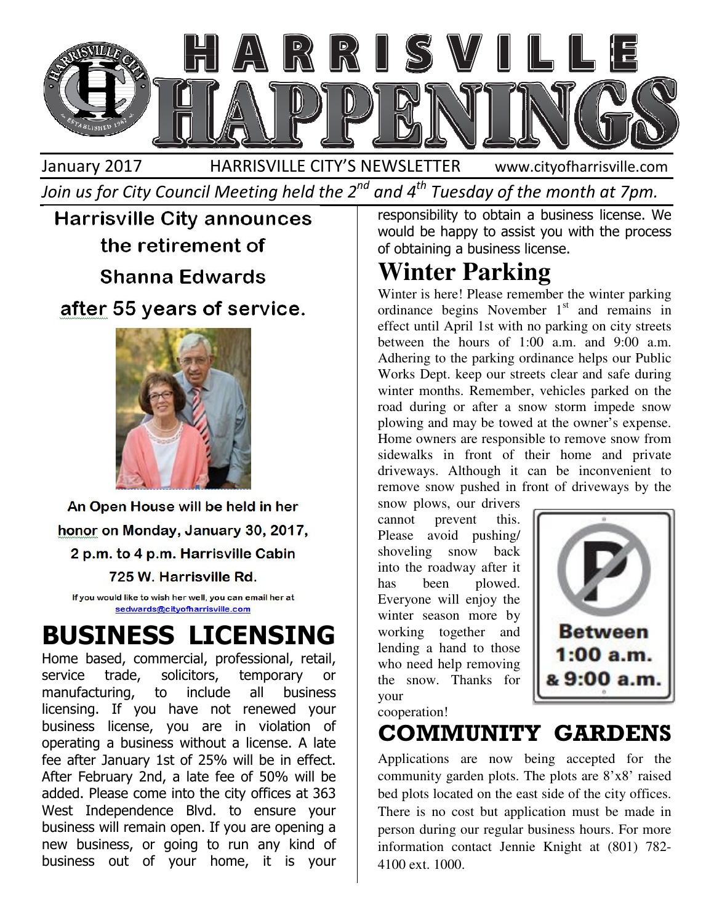

Join us for City Council Meeting held the 2 $^{\mathit{nd}}$  and 4 $^{\mathit{th}}$  Tuesday of the month at 7pm.



## BUSINESS LICENSING

Home based, commercial, professional, retail, service trade, solicitors, temporary or manufacturing, to include all business licensing. If you have not renewed your business license, you are in violation of operating a business without a license. A late fee after January 1st of 25% will be in effect. After February 2nd, a late fee of 50% will be added. Please come into the city offices at 363 West Independence Blvd. to ensure your business will remain open. If you are opening a new business, or going to run any kind of business out of your home, it is your Harrisville City announces<br>
the retirement of orbitaining a busines license. We can be absorber the theorem and a stream of the transformation<br>
solicitors, including the stream of the INST PLACE (with the INST PLACE INCRE

would be happy to assist you with the process of obtaining a business license. responsibility to obtain a business license. We

### **Winter Parking**

Winter is here! Please remember the winter parking ordinance begins November  $1<sup>st</sup>$  and remains in effect until April 1st with no parking on city streets between the hours of 1:00 a.m. and 9:00 a.m. Adhering to the parking ordinance helps our Public Works Dept. keep our streets clear and safe during winter months. Remember, vehicles parked on the road during or after a snow storm impede snow plowing and may be towed at the owner's expense. Home owners are responsible to remove snow from sidewalks in front of their home and private driveways. Although it can be inconvenient to remove snow pushed in front of driveways by the fect until April 1st with no parking on city streets<br>tween the hours of 1:00 a.m. and 9:00 a.m.<br>orks Dept. keep our streets clear and safe during<br>inter months. Remember, vehicles parked on the<br>ad during or after a snow sto

snow plows, our drivers cannot prevent this. Please avoid pushing/ shoveling snow back into the roadway after it has been plowed. Everyone will enjoy the winter season more by working together and lending a hand to those who need help removing the snow. Thanks for your



cooperation!

COMMUNITY GARDENS

Applications are now being accepted for the community garden plots. The plots are 8'x8' raised bed plots located on the east side of the city offices. There is no cost but application must be made in person during our regular business hours. For more information contact Jennie Knight at (801) 782 782- 4100 ext. 1000.